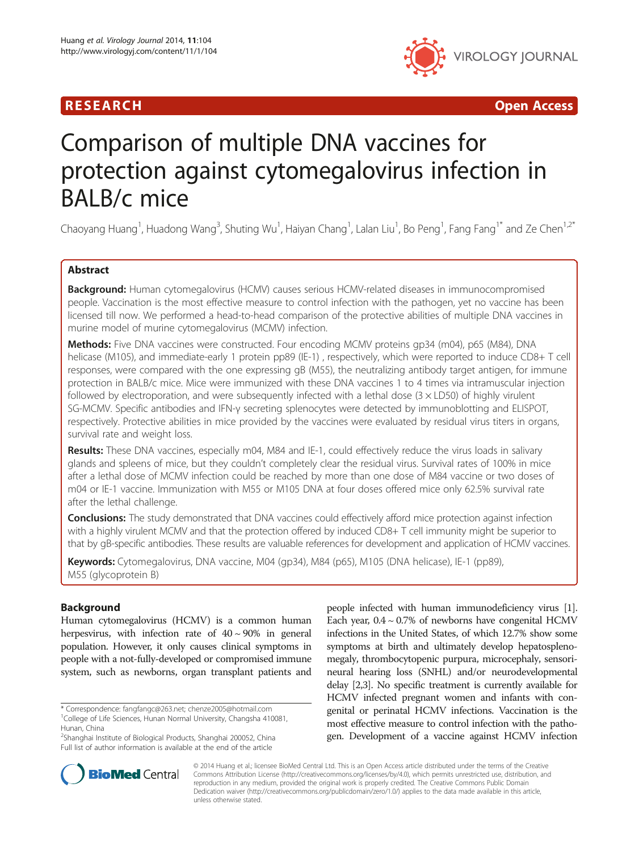



# Comparison of multiple DNA vaccines for protection against cytomegalovirus infection in BALB/c mice

Chaoyang Huang<sup>1</sup>, Huadong Wang<sup>3</sup>, Shuting Wu<sup>1</sup>, Haiyan Chang<sup>1</sup>, Lalan Liu<sup>1</sup>, Bo Peng<sup>1</sup>, Fang Fang<sup>1\*</sup> and Ze Chen<sup>1,2\*</sup>

# Abstract

Background: Human cytomegalovirus (HCMV) causes serious HCMV-related diseases in immunocompromised people. Vaccination is the most effective measure to control infection with the pathogen, yet no vaccine has been licensed till now. We performed a head-to-head comparison of the protective abilities of multiple DNA vaccines in murine model of murine cytomegalovirus (MCMV) infection.

Methods: Five DNA vaccines were constructed. Four encoding MCMV proteins qp34 (m04), p65 (M84), DNA helicase (M105), and immediate-early 1 protein pp89 (IE-1) , respectively, which were reported to induce CD8+ T cell responses, were compared with the one expressing gB (M55), the neutralizing antibody target antigen, for immune protection in BALB/c mice. Mice were immunized with these DNA vaccines 1 to 4 times via intramuscular injection followed by electroporation, and were subsequently infected with a lethal dose  $(3 \times LDS0)$  of highly virulent SG-MCMV. Specific antibodies and IFN-γ secreting splenocytes were detected by immunoblotting and ELISPOT, respectively. Protective abilities in mice provided by the vaccines were evaluated by residual virus titers in organs, survival rate and weight loss.

Results: These DNA vaccines, especially m04, M84 and IE-1, could effectively reduce the virus loads in salivary glands and spleens of mice, but they couldn't completely clear the residual virus. Survival rates of 100% in mice after a lethal dose of MCMV infection could be reached by more than one dose of M84 vaccine or two doses of m04 or IE-1 vaccine. Immunization with M55 or M105 DNA at four doses offered mice only 62.5% survival rate after the lethal challenge.

Conclusions: The study demonstrated that DNA vaccines could effectively afford mice protection against infection with a highly virulent MCMV and that the protection offered by induced CD8+ T cell immunity might be superior to that by gB-specific antibodies. These results are valuable references for development and application of HCMV vaccines.

Keywords: Cytomegalovirus, DNA vaccine, M04 (gp34), M84 (p65), M105 (DNA helicase), IE-1 (pp89), M55 (glycoprotein B)

## Background

Human cytomegalovirus (HCMV) is a common human herpesvirus, with infection rate of  $40 \sim 90\%$  in general population. However, it only causes clinical symptoms in people with a not-fully-developed or compromised immune system, such as newborns, organ transplant patients and

\* Correspondence: [fangfangc@263.net;](mailto:fangfangc@263.net) [chenze2005@hotmail.com](mailto:chenze2005@hotmail.com) <sup>1</sup>

<sup>1</sup>College of Life Sciences, Hunan Normal University, Changsha 410081, Hunan, China

<sup>2</sup>Shanghai Institute of Biological Products, Shanghai 200052, China Full list of author information is available at the end of the article

people infected with human immunodeficiency virus [[1](#page-7-0)]. Each year,  $0.4 \sim 0.7\%$  of newborns have congenital HCMV infections in the United States, of which 12.7% show some symptoms at birth and ultimately develop hepatosplenomegaly, thrombocytopenic purpura, microcephaly, sensorineural hearing loss (SNHL) and/or neurodevelopmental delay [\[2,3\]](#page-7-0). No specific treatment is currently available for HCMV infected pregnant women and infants with congenital or perinatal HCMV infections. Vaccination is the most effective measure to control infection with the pathogen. Development of a vaccine against HCMV infection



© 2014 Huang et al.; licensee BioMed Central Ltd. This is an Open Access article distributed under the terms of the Creative Commons Attribution License [\(http://creativecommons.org/licenses/by/4.0\)](http://creativecommons.org/licenses/by/4.0), which permits unrestricted use, distribution, and reproduction in any medium, provided the original work is properly credited. The Creative Commons Public Domain Dedication waiver [\(http://creativecommons.org/publicdomain/zero/1.0/](http://creativecommons.org/publicdomain/zero/1.0/)) applies to the data made available in this article, unless otherwise stated.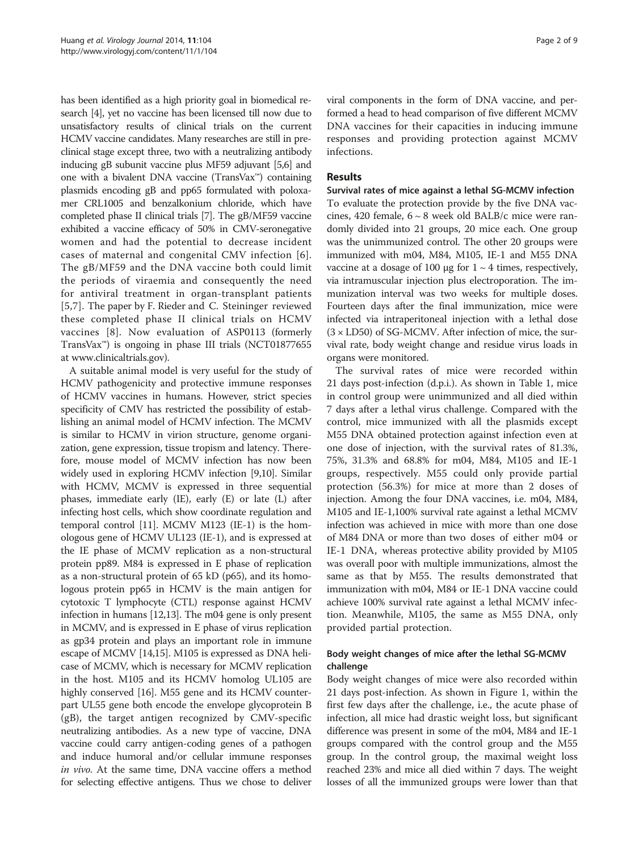has been identified as a high priority goal in biomedical research [[4](#page-7-0)], yet no vaccine has been licensed till now due to unsatisfactory results of clinical trials on the current HCMV vaccine candidates. Many researches are still in preclinical stage except three, two with a neutralizing antibody inducing gB subunit vaccine plus MF59 adjuvant [\[5,6\]](#page-7-0) and one with a bivalent DNA vaccine (TransVax™) containing plasmids encoding gB and pp65 formulated with poloxamer CRL1005 and benzalkonium chloride, which have completed phase II clinical trials [\[7](#page-8-0)]. The gB/MF59 vaccine exhibited a vaccine efficacy of 50% in CMV-seronegative women and had the potential to decrease incident cases of maternal and congenital CMV infection [[6\]](#page-7-0). The gB/MF59 and the DNA vaccine both could limit the periods of viraemia and consequently the need for antiviral treatment in organ-transplant patients [[5](#page-7-0),[7\]](#page-8-0). The paper by F. Rieder and C. Steininger reviewed these completed phase II clinical trials on HCMV vaccines [\[8\]](#page-8-0). Now evaluation of ASP0113 (formerly TransVax™) is ongoing in phase III trials (NCT01877655 at [www.clinicaltrials.gov\)](http://www.clinicaltrials.gov).

A suitable animal model is very useful for the study of HCMV pathogenicity and protective immune responses of HCMV vaccines in humans. However, strict species specificity of CMV has restricted the possibility of establishing an animal model of HCMV infection. The MCMV is similar to HCMV in virion structure, genome organization, gene expression, tissue tropism and latency. Therefore, mouse model of MCMV infection has now been widely used in exploring HCMV infection [[9,10](#page-8-0)]. Similar with HCMV, MCMV is expressed in three sequential phases, immediate early (IE), early (E) or late (L) after infecting host cells, which show coordinate regulation and temporal control [[11](#page-8-0)]. MCMV M123 (IE-1) is the homologous gene of HCMV UL123 (IE-1), and is expressed at the IE phase of MCMV replication as a non-structural protein pp89. M84 is expressed in E phase of replication as a non-structural protein of 65 kD (p65), and its homologous protein pp65 in HCMV is the main antigen for cytotoxic T lymphocyte (CTL) response against HCMV infection in humans [[12,13](#page-8-0)]. The m04 gene is only present in MCMV, and is expressed in E phase of virus replication as gp34 protein and plays an important role in immune escape of MCMV [[14,15\]](#page-8-0). M105 is expressed as DNA helicase of MCMV, which is necessary for MCMV replication in the host. M105 and its HCMV homolog UL105 are highly conserved [\[16\]](#page-8-0). M55 gene and its HCMV counterpart UL55 gene both encode the envelope glycoprotein B (gB), the target antigen recognized by CMV-specific neutralizing antibodies. As a new type of vaccine, DNA vaccine could carry antigen-coding genes of a pathogen and induce humoral and/or cellular immune responses in vivo. At the same time, DNA vaccine offers a method for selecting effective antigens. Thus we chose to deliver viral components in the form of DNA vaccine, and performed a head to head comparison of five different MCMV DNA vaccines for their capacities in inducing immune responses and providing protection against MCMV infections.

## Results

Survival rates of mice against a lethal SG-MCMV infection To evaluate the protection provide by the five DNA vaccines, 420 female, 6 ~ 8 week old BALB/c mice were randomly divided into 21 groups, 20 mice each. One group was the unimmunized control. The other 20 groups were immunized with m04, M84, M105, IE-1 and M55 DNA vaccine at a dosage of 100  $\mu$ g for 1 ~ 4 times, respectively, via intramuscular injection plus electroporation. The immunization interval was two weeks for multiple doses. Fourteen days after the final immunization, mice were infected via intraperitoneal injection with a lethal dose  $(3 \times LD50)$  of SG-MCMV. After infection of mice, the survival rate, body weight change and residue virus loads in organs were monitored.

The survival rates of mice were recorded within 21 days post-infection (d.p.i.). As shown in Table [1,](#page-2-0) mice in control group were unimmunized and all died within 7 days after a lethal virus challenge. Compared with the control, mice immunized with all the plasmids except M55 DNA obtained protection against infection even at one dose of injection, with the survival rates of 81.3%, 75%, 31.3% and 68.8% for m04, M84, M105 and IE-1 groups, respectively. M55 could only provide partial protection (56.3%) for mice at more than 2 doses of injection. Among the four DNA vaccines, i.e. m04, M84, M105 and IE-1,100% survival rate against a lethal MCMV infection was achieved in mice with more than one dose of M84 DNA or more than two doses of either m04 or IE-1 DNA, whereas protective ability provided by M105 was overall poor with multiple immunizations, almost the same as that by M55. The results demonstrated that immunization with m04, M84 or IE-1 DNA vaccine could achieve 100% survival rate against a lethal MCMV infection. Meanwhile, M105, the same as M55 DNA, only provided partial protection.

## Body weight changes of mice after the lethal SG-MCMV challenge

Body weight changes of mice were also recorded within 21 days post-infection. As shown in Figure [1,](#page-2-0) within the first few days after the challenge, i.e., the acute phase of infection, all mice had drastic weight loss, but significant difference was present in some of the m04, M84 and IE-1 groups compared with the control group and the M55 group. In the control group, the maximal weight loss reached 23% and mice all died within 7 days. The weight losses of all the immunized groups were lower than that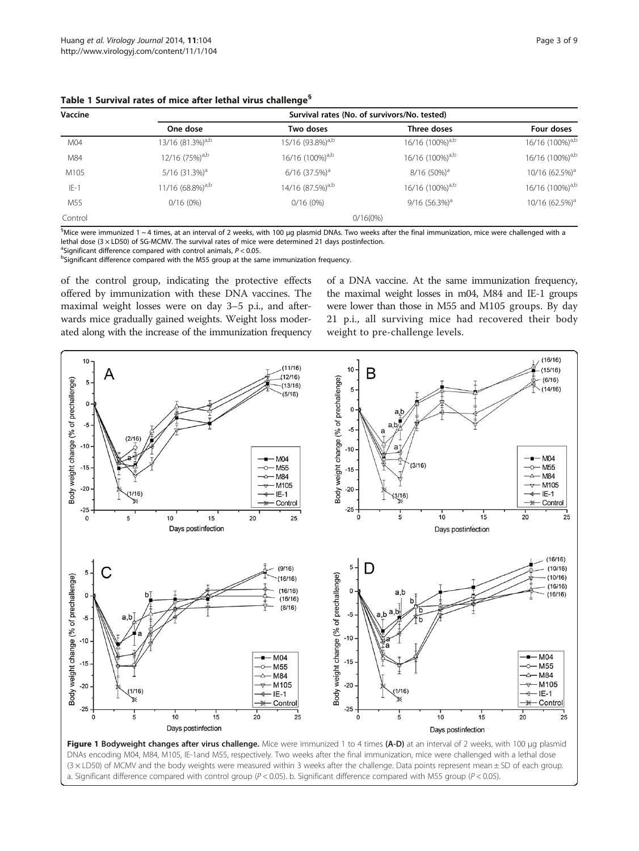| Vaccine | Survival rates (No. of survivors/No. tested) |                              |                             |                             |  |  |  |
|---------|----------------------------------------------|------------------------------|-----------------------------|-----------------------------|--|--|--|
|         | One dose                                     | Two doses                    | Three doses                 | Four doses                  |  |  |  |
| M04     | 13/16 $(81.3\%)^{a,b}$                       | 15/16 (93.8%) <sup>a,b</sup> | 16/16 (100%) <sup>a,b</sup> | 16/16 (100%) <sup>a,b</sup> |  |  |  |
| M84     | $12/16$ (75%) <sup>a,b</sup>                 | 16/16 (100%) <sup>a,b</sup>  | 16/16 (100%) <sup>a,b</sup> | 16/16 (100%) <sup>a,b</sup> |  |  |  |
| M105    | $5/16$ (31.3%) <sup>a</sup>                  | $6/16$ (37.5%) <sup>a</sup>  | 8/16 (50%) <sup>a</sup>     | 10/16 (62.5%) <sup>a</sup>  |  |  |  |
| $E-1$   | $11/16$ (68.8%) <sup>a,b</sup>               | 14/16 (87.5%) <sup>a,b</sup> | 16/16 (100%) <sup>a,b</sup> | 16/16 (100%) <sup>a,b</sup> |  |  |  |
| M55     | 0/16(0%)                                     | $0/16(0\%)$                  | $9/16$ (56.3%) <sup>a</sup> | 10/16 (62.5%) <sup>a</sup>  |  |  |  |
| Control |                                              | $0/16(0\%)$                  |                             |                             |  |  |  |

<span id="page-2-0"></span>Table 1 Survival rates of mice after lethal virus challenge§

 $^{\rm s}$ Mice were immunized 1 ~ 4 times, at an interval of 2 weeks, with 100 µg plasmid DNAs. Two weeks after the final immunization, mice were challenged with a lethal dose (3 × LD50) of SG-MCMV. The survival rates of mice were determined 21 days postinfection.

<sup>a</sup>Significant difference compared with control animals,  $P < 0.05$ .

<sup>a</sup>Significant difference compared with control animals, P < 0.05.<br><sup>b</sup>Significant difference compared with the M55 group at the same immunization frequency.

of the control group, indicating the protective effects offered by immunization with these DNA vaccines. The maximal weight losses were on day 3–5 p.i., and afterwards mice gradually gained weights. Weight loss moderated along with the increase of the immunization frequency

of a DNA vaccine. At the same immunization frequency, the maximal weight losses in m04, M84 and IE-1 groups were lower than those in M55 and M105 groups. By day 21 p.i., all surviving mice had recovered their body weight to pre-challenge levels.



DNAs encoding M04, M84, M105, IE-1and M55, respectively. Two weeks after the final immunization, mice were challenged with a lethal dose (3 × LD50) of MCMV and the body weights were measured within 3 weeks after the challenge. Data points represent mean ± SD of each group. a. Significant difference compared with control group ( $P < 0.05$ ). b. Significant difference compared with M55 group ( $P < 0.05$ ).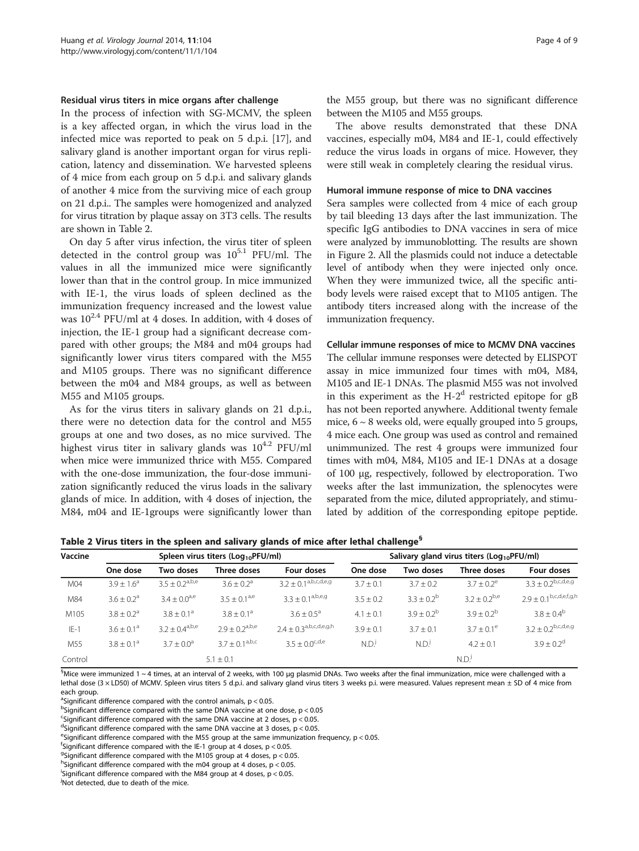#### <span id="page-3-0"></span>Residual virus titers in mice organs after challenge

In the process of infection with SG-MCMV, the spleen is a key affected organ, in which the virus load in the infected mice was reported to peak on 5 d.p.i. [[17\]](#page-8-0), and salivary gland is another important organ for virus replication, latency and dissemination. We harvested spleens of 4 mice from each group on 5 d.p.i. and salivary glands of another 4 mice from the surviving mice of each group on 21 d.p.i.. The samples were homogenized and analyzed for virus titration by plaque assay on 3T3 cells. The results are shown in Table 2.

On day 5 after virus infection, the virus titer of spleen detected in the control group was  $10^{5.1}$  PFU/ml. The values in all the immunized mice were significantly lower than that in the control group. In mice immunized with IE-1, the virus loads of spleen declined as the immunization frequency increased and the lowest value was  $10^{2.4}$  PFU/ml at 4 doses. In addition, with 4 doses of injection, the IE-1 group had a significant decrease compared with other groups; the M84 and m04 groups had significantly lower virus titers compared with the M55 and M105 groups. There was no significant difference between the m04 and M84 groups, as well as between M55 and M105 groups.

As for the virus titers in salivary glands on 21 d.p.i., there were no detection data for the control and M55 groups at one and two doses, as no mice survived. The highest virus titer in salivary glands was  $10^{4.2}$  PFU/ml when mice were immunized thrice with M55. Compared with the one-dose immunization, the four-dose immunization significantly reduced the virus loads in the salivary glands of mice. In addition, with 4 doses of injection, the M84, m04 and IE-1groups were significantly lower than

the M55 group, but there was no significant difference between the M105 and M55 groups.

The above results demonstrated that these DNA vaccines, especially m04, M84 and IE-1, could effectively reduce the virus loads in organs of mice. However, they were still weak in completely clearing the residual virus.

#### Humoral immune response of mice to DNA vaccines

Sera samples were collected from 4 mice of each group by tail bleeding 13 days after the last immunization. The specific IgG antibodies to DNA vaccines in sera of mice were analyzed by immunoblotting. The results are shown in Figure [2](#page-4-0). All the plasmids could not induce a detectable level of antibody when they were injected only once. When they were immunized twice, all the specific antibody levels were raised except that to M105 antigen. The antibody titers increased along with the increase of the immunization frequency.

#### Cellular immune responses of mice to MCMV DNA vaccines

The cellular immune responses were detected by ELISPOT assay in mice immunized four times with m04, M84, M105 and IE-1 DNAs. The plasmid M55 was not involved in this experiment as the  $H-2<sup>d</sup>$  restricted epitope for gB has not been reported anywhere. Additional twenty female mice,  $6 \sim 8$  weeks old, were equally grouped into 5 groups, 4 mice each. One group was used as control and remained unimmunized. The rest 4 groups were immunized four times with m04, M84, M105 and IE-1 DNAs at a dosage of 100 μg, respectively, followed by electroporation. Two weeks after the last immunization, the splenocytes were separated from the mice, diluted appropriately, and stimulated by addition of the corresponding epitope peptide.

Table 2 Virus titers in the spleen and salivary glands of mice after lethal challenge<sup>§</sup>

| Vaccine | Spleen virus titers ( $Log_{10}$ PFU/ml) |                       |                   |                               | Salivary gland virus titers ( $Log_{10}$ PFU/ml) |                 |                     |                               |
|---------|------------------------------------------|-----------------------|-------------------|-------------------------------|--------------------------------------------------|-----------------|---------------------|-------------------------------|
|         | One dose                                 | Two doses             | Three doses       | Four doses                    | One dose                                         | Two doses       | Three doses         | Four doses                    |
| M04     | $3.9 + 1.6^a$                            | $3.5 \pm 0.2^{a,b,e}$ | $3.6 + 0.2a$      | $3.2 \pm 0.1^{a,b,c,d,e,g}$   | $3.7 \pm 0.1$                                    | $3.7 \pm 0.2$   | $3.7 + 0.2^e$       | $3.3 \pm 0.2^{b,c,d,e,g}$     |
| M84     | $3.6 + 0.2a$                             | $3.4 + 0.0^{a,e}$     | $3.5 + 0.1^{a,e}$ | $3.3 \pm 0.1^{a,b,e,g}$       | $3.5 \pm 0.2$                                    | $3.3 + 0.2^{b}$ | $3.2 \pm 0.2^{b,e}$ | $2.9 \pm 0.1^{b,c,d,e,f,g,h}$ |
| M105    | $3.8 + 0.2a$                             | $3.8 + 0.1a$          | $3.8 + 0.1a$      | $3.6 + 0.5^a$                 | $4.1 \pm 0.1$                                    | $3.9 + 0.2^{b}$ | $3.9 \pm 0.2^b$     | $3.8 \pm 0.4^{\rm b}$         |
| $IE-1$  | $3.6 + 0.1a$                             | $3.2 \pm 0.4^{a,b,e}$ | $29 + 02^{a,b,e}$ | $2.4 \pm 0.3^{a,b,c,d,e,g,h}$ | $3.9 + 0.1$                                      | $3.7 + 0.1$     | $3.7 + 0.1^e$       | $3.2 \pm 0.2^{b,c,d,e,g}$     |
| M55     | $3.8 \pm 0.1^a$                          | $3.7 + 0.0^a$         | $37 + 01^{a,b,c}$ | $3.5 \pm 0.0^{c,d,e}$         | N.D.                                             | N.D.            | $4.2 + 0.1$         | $3.9 + 0.2^d$                 |
| Control | $5.1 + 0.1$                              |                       |                   |                               | N.D.                                             |                 |                     |                               |

 $^{\rm 5}$ Mice were immunized 1 ~ 4 times, at an interval of 2 weeks, with 100 µg plasmid DNAs. Two weeks after the final immunization, mice were challenged with a lethal dose (3 × LD50) of MCMV. Spleen virus titers 5 d.p.i. and salivary gland virus titers 3 weeks p.i. were measured. Values represent mean ± SD of 4 mice from each group.

<sup>a</sup>Significant difference compared with the control animals,  $p < 0.05$ .

 $^{\text{b}}$ Significant difference compared with the same DNA vaccine at one dose, p < 0.05

<sup>c</sup>Significant difference compared with the same DNA vaccine at 2 doses,  $p < 0.05$ .

<sup>d</sup>Significant difference compared with the same DNA vaccine at 3 doses, p < 0.05.

<sup>e</sup>Significant difference compared with the M55 group at the same immunization frequency, p < 0.05.

<sup>f</sup>Significant difference compared with the IE-1 group at 4 doses, p < 0.05.

<sup>9</sup>Significant difference compared with the M105 group at 4 doses,  $p < 0.05$ .

<sup>h</sup>Significant difference compared with the m04 group at 4 doses, p < 0.05.

i Significant difference compared with the M84 group at 4 doses, p < 0.05.

j Not detected, due to death of the mice.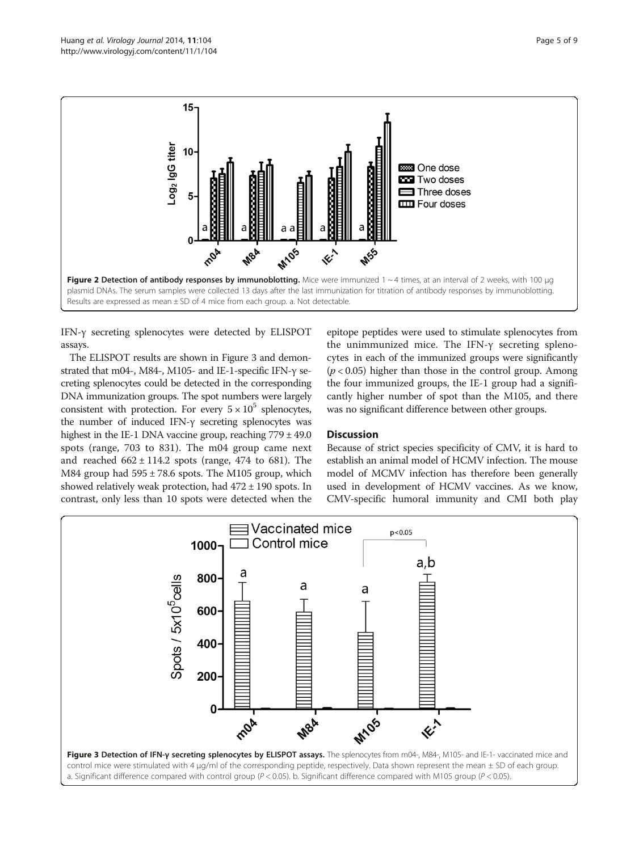<span id="page-4-0"></span>

IFN-γ secreting splenocytes were detected by ELISPOT assays.

The ELISPOT results are shown in Figure 3 and demonstrated that m04-, M84-, M105- and IE-1-specific IFN-γ secreting splenocytes could be detected in the corresponding DNA immunization groups. The spot numbers were largely consistent with protection. For every  $5 \times 10^5$  splenocytes, the number of induced IFN-γ secreting splenocytes was highest in the IE-1 DNA vaccine group, reaching 779 ± 49.0 spots (range, 703 to 831). The m04 group came next and reached  $662 \pm 114.2$  spots (range, 474 to 681). The M84 group had  $595 \pm 78.6$  spots. The M105 group, which showed relatively weak protection, had  $472 \pm 190$  spots. In contrast, only less than 10 spots were detected when the

epitope peptides were used to stimulate splenocytes from the unimmunized mice. The IFN-γ secreting splenocytes in each of the immunized groups were significantly  $(p < 0.05)$  higher than those in the control group. Among the four immunized groups, the IE-1 group had a significantly higher number of spot than the M105, and there was no significant difference between other groups.

## **Discussion**

Because of strict species specificity of CMV, it is hard to establish an animal model of HCMV infection. The mouse model of MCMV infection has therefore been generally used in development of HCMV vaccines. As we know, CMV-specific humoral immunity and CMI both play

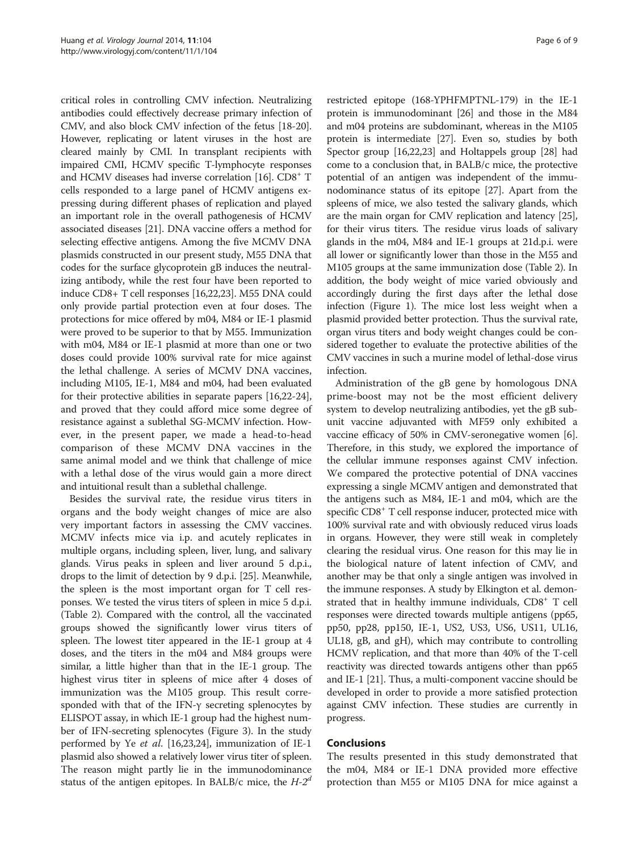critical roles in controlling CMV infection. Neutralizing antibodies could effectively decrease primary infection of CMV, and also block CMV infection of the fetus [[18](#page-8-0)-[20](#page-8-0)]. However, replicating or latent viruses in the host are cleared mainly by CMI. In transplant recipients with impaired CMI, HCMV specific T-lymphocyte responses and HCMV diseases had inverse correlation  $[16]$  $[16]$ . CD8<sup>+</sup> T cells responded to a large panel of HCMV antigens expressing during different phases of replication and played an important role in the overall pathogenesis of HCMV associated diseases [\[21\]](#page-8-0). DNA vaccine offers a method for selecting effective antigens. Among the five MCMV DNA plasmids constructed in our present study, M55 DNA that codes for the surface glycoprotein gB induces the neutralizing antibody, while the rest four have been reported to induce CD8+ T cell responses [\[16,22](#page-8-0),[23](#page-8-0)]. M55 DNA could only provide partial protection even at four doses. The protections for mice offered by m04, M84 or IE-1 plasmid were proved to be superior to that by M55. Immunization with m04, M84 or IE-1 plasmid at more than one or two doses could provide 100% survival rate for mice against the lethal challenge. A series of MCMV DNA vaccines, including M105, IE-1, M84 and m04, had been evaluated for their protective abilities in separate papers [[16,22](#page-8-0)-[24](#page-8-0)], and proved that they could afford mice some degree of resistance against a sublethal SG-MCMV infection. However, in the present paper, we made a head-to-head comparison of these MCMV DNA vaccines in the same animal model and we think that challenge of mice with a lethal dose of the virus would gain a more direct and intuitional result than a sublethal challenge.

Besides the survival rate, the residue virus titers in organs and the body weight changes of mice are also very important factors in assessing the CMV vaccines. MCMV infects mice via i.p. and acutely replicates in multiple organs, including spleen, liver, lung, and salivary glands. Virus peaks in spleen and liver around 5 d.p.i., drops to the limit of detection by 9 d.p.i. [\[25](#page-8-0)]. Meanwhile, the spleen is the most important organ for T cell responses. We tested the virus titers of spleen in mice 5 d.p.i. (Table [2](#page-3-0)). Compared with the control, all the vaccinated groups showed the significantly lower virus titers of spleen. The lowest titer appeared in the IE-1 group at 4 doses, and the titers in the m04 and M84 groups were similar, a little higher than that in the IE-1 group. The highest virus titer in spleens of mice after 4 doses of immunization was the M105 group. This result corresponded with that of the IFN-γ secreting splenocytes by ELISPOT assay, in which IE-1 group had the highest number of IFN-secreting splenocytes (Figure [3\)](#page-4-0). In the study performed by Ye et al. [\[16,23,24](#page-8-0)], immunization of IE-1 plasmid also showed a relatively lower virus titer of spleen. The reason might partly lie in the immunodominance status of the antigen epitopes. In BALB/c mice, the  $H-2^d$ 

restricted epitope (168-YPHFMPTNL-179) in the IE-1 protein is immunodominant [[26\]](#page-8-0) and those in the M84 and m04 proteins are subdominant, whereas in the M105 protein is intermediate [\[27\]](#page-8-0). Even so, studies by both Spector group [\[16,22,23](#page-8-0)] and Holtappels group [\[28\]](#page-8-0) had come to a conclusion that, in BALB/c mice, the protective potential of an antigen was independent of the immunodominance status of its epitope [[27\]](#page-8-0). Apart from the spleens of mice, we also tested the salivary glands, which are the main organ for CMV replication and latency [[25](#page-8-0)], for their virus titers. The residue virus loads of salivary glands in the m04, M84 and IE-1 groups at 21d.p.i. were all lower or significantly lower than those in the M55 and M105 groups at the same immunization dose (Table [2](#page-3-0)). In addition, the body weight of mice varied obviously and accordingly during the first days after the lethal dose infection (Figure [1\)](#page-2-0). The mice lost less weight when a plasmid provided better protection. Thus the survival rate, organ virus titers and body weight changes could be considered together to evaluate the protective abilities of the CMV vaccines in such a murine model of lethal-dose virus infection.

Administration of the gB gene by homologous DNA prime-boost may not be the most efficient delivery system to develop neutralizing antibodies, yet the gB subunit vaccine adjuvanted with MF59 only exhibited a vaccine efficacy of 50% in CMV-seronegative women [[6](#page-7-0)]. Therefore, in this study, we explored the importance of the cellular immune responses against CMV infection. We compared the protective potential of DNA vaccines expressing a single MCMV antigen and demonstrated that the antigens such as M84, IE-1 and m04, which are the specific CD8<sup>+</sup> T cell response inducer, protected mice with 100% survival rate and with obviously reduced virus loads in organs. However, they were still weak in completely clearing the residual virus. One reason for this may lie in the biological nature of latent infection of CMV, and another may be that only a single antigen was involved in the immune responses. A study by Elkington et al. demonstrated that in healthy immune individuals,  $CDS<sup>+</sup> T$  cell responses were directed towards multiple antigens (pp65, pp50, pp28, pp150, IE-1, US2, US3, US6, US11, UL16, UL18, gB, and gH), which may contribute to controlling HCMV replication, and that more than 40% of the T-cell reactivity was directed towards antigens other than pp65 and IE-1 [[21](#page-8-0)]. Thus, a multi-component vaccine should be developed in order to provide a more satisfied protection against CMV infection. These studies are currently in progress.

## Conclusions

The results presented in this study demonstrated that the m04, M84 or IE-1 DNA provided more effective protection than M55 or M105 DNA for mice against a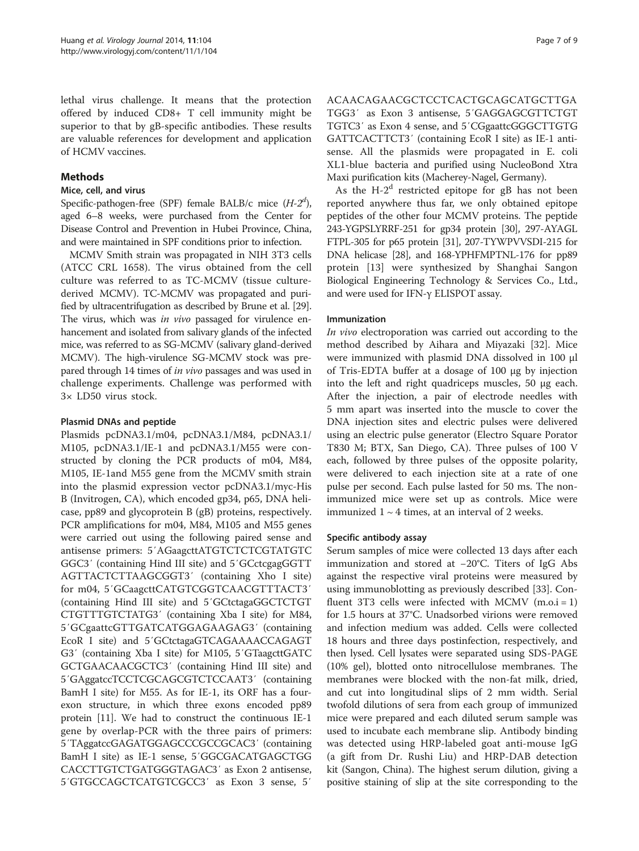lethal virus challenge. It means that the protection offered by induced CD8+ T cell immunity might be superior to that by gB-specific antibodies. These results are valuable references for development and application of HCMV vaccines.

## Methods

## Mice, cell, and virus

Specific-pathogen-free (SPF) female BALB/c mice  $(H-2<sup>d</sup>)$ , aged 6–8 weeks, were purchased from the Center for Disease Control and Prevention in Hubei Province, China, and were maintained in SPF conditions prior to infection.

MCMV Smith strain was propagated in NIH 3T3 cells (ATCC CRL 1658). The virus obtained from the cell culture was referred to as TC-MCMV (tissue culturederived MCMV). TC-MCMV was propagated and purified by ultracentrifugation as described by Brune et al. [\[29](#page-8-0)]. The virus, which was in vivo passaged for virulence enhancement and isolated from salivary glands of the infected mice, was referred to as SG-MCMV (salivary gland-derived MCMV). The high-virulence SG-MCMV stock was prepared through 14 times of in vivo passages and was used in challenge experiments. Challenge was performed with 3× LD50 virus stock.

## Plasmid DNAs and peptide

Plasmids pcDNA3.1/m04, pcDNA3.1/M84, pcDNA3.1/ M105, pcDNA3.1/IE-1 and pcDNA3.1/M55 were constructed by cloning the PCR products of m04, M84, M105, IE-1and M55 gene from the MCMV smith strain into the plasmid expression vector pcDNA3.1/myc-His B (Invitrogen, CA), which encoded gp34, p65, DNA helicase, pp89 and glycoprotein B (gB) proteins, respectively. PCR amplifications for m04, M84, M105 and M55 genes were carried out using the following paired sense and antisense primers: 5′AGaagcttATGTCTCTCGTATGTC GGC3′ (containing Hind III site) and 5′GCctcgagGGTT AGTTACTCTTAAGCGGT3′ (containing Xho I site) for m04, 5′GCaagcttCATGTCGGTCAACGTTTACT3′ (containing Hind III site) and 5′GCtctagaGGCTCTGT CTGTTTGTCTATG3′ (containing Xba I site) for M84, 5′GCgaattcGTTGATCATGGAGAAGAG3′ (containing EcoR I site) and 5′GCtctagaGTCAGAAAACCAGAGT G3′ (containing Xba I site) for M105, 5′GTaagcttGATC GCTGAACAACGCTC3′ (containing Hind III site) and 5′GAggatccTCCTCGCAGCGTCTCCAAT3′ (containing BamH I site) for M55. As for IE-1, its ORF has a fourexon structure, in which three exons encoded pp89 protein [\[11](#page-8-0)]. We had to construct the continuous IE-1 gene by overlap-PCR with the three pairs of primers: 5′TAggatccGAGATGGAGCCCGCCGCAC3′ (containing BamH I site) as IE-1 sense, 5′GGCGACATGAGCTGG CACCTTGTCTGATGGGTAGAC3′ as Exon 2 antisense, 5′GTGCCAGCTCATGTCGCC3′ as Exon 3 sense, 5′

ACAACAGAACGCTCCTCACTGCAGCATGCTTGA TGG3′ as Exon 3 antisense, 5′GAGGAGCGTTCTGT TGTC3′ as Exon 4 sense, and 5′CGgaattcGGGCTTGTG GATTCACTTCT3′ (containing EcoR I site) as IE-1 antisense. All the plasmids were propagated in E. coli XL1-blue bacteria and purified using NucleoBond Xtra Maxi purification kits (Macherey-Nagel, Germany).

As the  $H-2<sup>d</sup>$  restricted epitope for gB has not been reported anywhere thus far, we only obtained epitope peptides of the other four MCMV proteins. The peptide 243-YGPSLYRRF-251 for gp34 protein [[30\]](#page-8-0), 297-AYAGL FTPL-305 for p65 protein [\[31\]](#page-8-0), 207-TYWPVVSDI-215 for DNA helicase [[28](#page-8-0)], and 168-YPHFMPTNL-176 for pp89 protein [\[13](#page-8-0)] were synthesized by Shanghai Sangon Biological Engineering Technology & Services Co., Ltd., and were used for IFN-γ ELISPOT assay.

## Immunization

In vivo electroporation was carried out according to the method described by Aihara and Miyazaki [[32\]](#page-8-0). Mice were immunized with plasmid DNA dissolved in 100 μl of Tris-EDTA buffer at a dosage of 100 μg by injection into the left and right quadriceps muscles, 50 μg each. After the injection, a pair of electrode needles with 5 mm apart was inserted into the muscle to cover the DNA injection sites and electric pulses were delivered using an electric pulse generator (Electro Square Porator T830 M; BTX, San Diego, CA). Three pulses of 100 V each, followed by three pulses of the opposite polarity, were delivered to each injection site at a rate of one pulse per second. Each pulse lasted for 50 ms. The nonimmunized mice were set up as controls. Mice were immunized  $1 \sim 4$  times, at an interval of 2 weeks.

#### Specific antibody assay

Serum samples of mice were collected 13 days after each immunization and stored at −20°C. Titers of IgG Abs against the respective viral proteins were measured by using immunoblotting as previously described [[33\]](#page-8-0). Confluent 3T3 cells were infected with MCMV  $(m.o.i = 1)$ for 1.5 hours at 37°C. Unadsorbed virions were removed and infection medium was added. Cells were collected 18 hours and three days postinfection, respectively, and then lysed. Cell lysates were separated using SDS-PAGE (10% gel), blotted onto nitrocellulose membranes. The membranes were blocked with the non-fat milk, dried, and cut into longitudinal slips of 2 mm width. Serial twofold dilutions of sera from each group of immunized mice were prepared and each diluted serum sample was used to incubate each membrane slip. Antibody binding was detected using HRP-labeled goat anti-mouse IgG (a gift from Dr. Rushi Liu) and HRP-DAB detection kit (Sangon, China). The highest serum dilution, giving a positive staining of slip at the site corresponding to the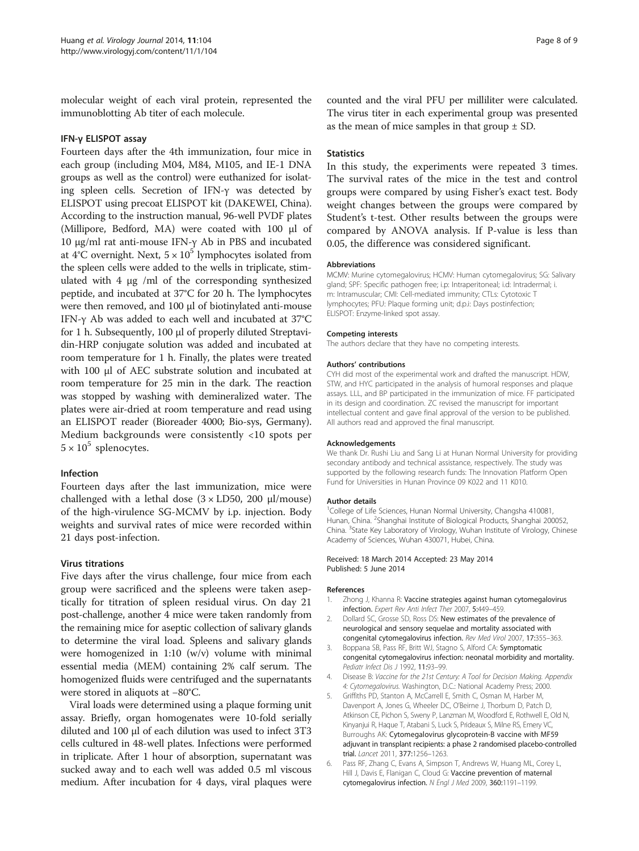<span id="page-7-0"></span>molecular weight of each viral protein, represented the immunoblotting Ab titer of each molecule.

## IFN-γ ELISPOT assay

Fourteen days after the 4th immunization, four mice in each group (including M04, M84, M105, and IE-1 DNA groups as well as the control) were euthanized for isolating spleen cells. Secretion of IFN-γ was detected by ELISPOT using precoat ELISPOT kit (DAKEWEI, China). According to the instruction manual, 96-well PVDF plates (Millipore, Bedford, MA) were coated with 100 μl of 10 μg/ml rat anti-mouse IFN-γ Ab in PBS and incubated at 4°C overnight. Next,  $5 \times 10^5$  lymphocytes isolated from the spleen cells were added to the wells in triplicate, stimulated with 4 μg /ml of the corresponding synthesized peptide, and incubated at 37°C for 20 h. The lymphocytes were then removed, and 100 μl of biotinylated anti-mouse IFN-γ Ab was added to each well and incubated at 37°C for 1 h. Subsequently, 100 μl of properly diluted Streptavidin-HRP conjugate solution was added and incubated at room temperature for 1 h. Finally, the plates were treated with 100 μl of AEC substrate solution and incubated at room temperature for 25 min in the dark. The reaction was stopped by washing with demineralized water. The plates were air-dried at room temperature and read using an ELISPOT reader (Bioreader 4000; Bio-sys, Germany). Medium backgrounds were consistently <10 spots per  $5 \times 10^5$  splenocytes.

#### Infection

Fourteen days after the last immunization, mice were challenged with a lethal dose  $(3 \times LD50, 200 \mu l/mouse)$ of the high-virulence SG-MCMV by i.p. injection. Body weights and survival rates of mice were recorded within 21 days post-infection.

#### Virus titrations

Five days after the virus challenge, four mice from each group were sacrificed and the spleens were taken aseptically for titration of spleen residual virus. On day 21 post-challenge, another 4 mice were taken randomly from the remaining mice for aseptic collection of salivary glands to determine the viral load. Spleens and salivary glands were homogenized in 1:10 (w/v) volume with minimal essential media (MEM) containing 2% calf serum. The homogenized fluids were centrifuged and the supernatants were stored in aliquots at −80°C.

Viral loads were determined using a plaque forming unit assay. Briefly, organ homogenates were 10-fold serially diluted and 100 μl of each dilution was used to infect 3T3 cells cultured in 48-well plates. Infections were performed in triplicate. After 1 hour of absorption, supernatant was sucked away and to each well was added 0.5 ml viscous medium. After incubation for 4 days, viral plaques were

counted and the viral PFU per milliliter were calculated. The virus titer in each experimental group was presented as the mean of mice samples in that group  $\pm$  SD.

#### **Statistics**

In this study, the experiments were repeated 3 times. The survival rates of the mice in the test and control groups were compared by using Fisher's exact test. Body weight changes between the groups were compared by Student's t-test. Other results between the groups were compared by ANOVA analysis. If P-value is less than 0.05, the difference was considered significant.

#### **Abbreviations**

MCMV: Murine cytomegalovirus; HCMV: Human cytomegalovirus; SG: Salivary gland; SPF: Specific pathogen free; i.p: Intraperitoneal; i.d: Intradermal; i. m: Intramuscular; CMI: Cell-mediated immunity; CTLs: Cytotoxic T lymphocytes; PFU: Plaque forming unit; d.p.i: Days postinfection; ELISPOT: Enzyme-linked spot assay.

#### Competing interests

The authors declare that they have no competing interests.

#### Authors' contributions

CYH did most of the experimental work and drafted the manuscript. HDW, STW, and HYC participated in the analysis of humoral responses and plaque assays. LLL, and BP participated in the immunization of mice. FF participated in its design and coordination. ZC revised the manuscript for important intellectual content and gave final approval of the version to be published. All authors read and approved the final manuscript.

#### Acknowledgements

We thank Dr. Rushi Liu and Sang Li at Hunan Normal University for providing secondary antibody and technical assistance, respectively. The study was supported by the following research funds: The Innovation Platform Open Fund for Universities in Hunan Province 09 K022 and 11 K010.

#### Author details

<sup>1</sup>College of Life Sciences, Hunan Normal University, Changsha 410081, Hunan, China. <sup>2</sup>Shanghai Institute of Biological Products, Shanghai 200052, China. <sup>3</sup>State Key Laboratory of Virology, Wuhan Institute of Virology, Chinese Academy of Sciences, Wuhan 430071, Hubei, China.

Received: 18 March 2014 Accepted: 23 May 2014 Published: 5 June 2014

#### References

- 1. Zhong J, Khanna R: Vaccine strategies against human cytomegalovirus infection. Expert Rev Anti Infect Ther 2007, 5:449–459.
- 2. Dollard SC, Grosse SD, Ross DS: New estimates of the prevalence of neurological and sensory sequelae and mortality associated with congenital cytomegalovirus infection. Rev Med Virol 2007, 17:355–363.
- 3. Boppana SB, Pass RF, Britt WJ, Stagno S, Alford CA: Symptomatic congenital cytomegalovirus infection: neonatal morbidity and mortality. Pediatr Infect Dis J 1992, 11:93–99.
- 4. Disease B: Vaccine for the 21st Century: A Tool for Decision Making. Appendix 4: Cytomegalovirus. Washington, D.C.: National Academy Press; 2000.
- 5. Griffiths PD, Stanton A, McCarrell E, Smith C, Osman M, Harber M, Davenport A, Jones G, Wheeler DC, O'Beirne J, Thorbum D, Patch D, Atkinson CE, Pichon S, Sweny P, Lanzman M, Woodford E, Rothwell E, Old N, Kinyanjui R, Haque T, Atabani S, Luck S, Prideaux S, Milne RS, Emery VC, Burroughs AK: Cytomegalovirus glycoprotein-B vaccine with MF59 adjuvant in transplant recipients: a phase 2 randomised placebo-controlled trial. Lancet 2011, 377:1256–1263.
- 6. Pass RF, Zhang C, Evans A, Simpson T, Andrews W, Huang ML, Corey L, Hill J, Davis E, Flanigan C, Cloud G: Vaccine prevention of maternal cytomegalovirus infection. N Engl J Med 2009, 360:1191–1199.